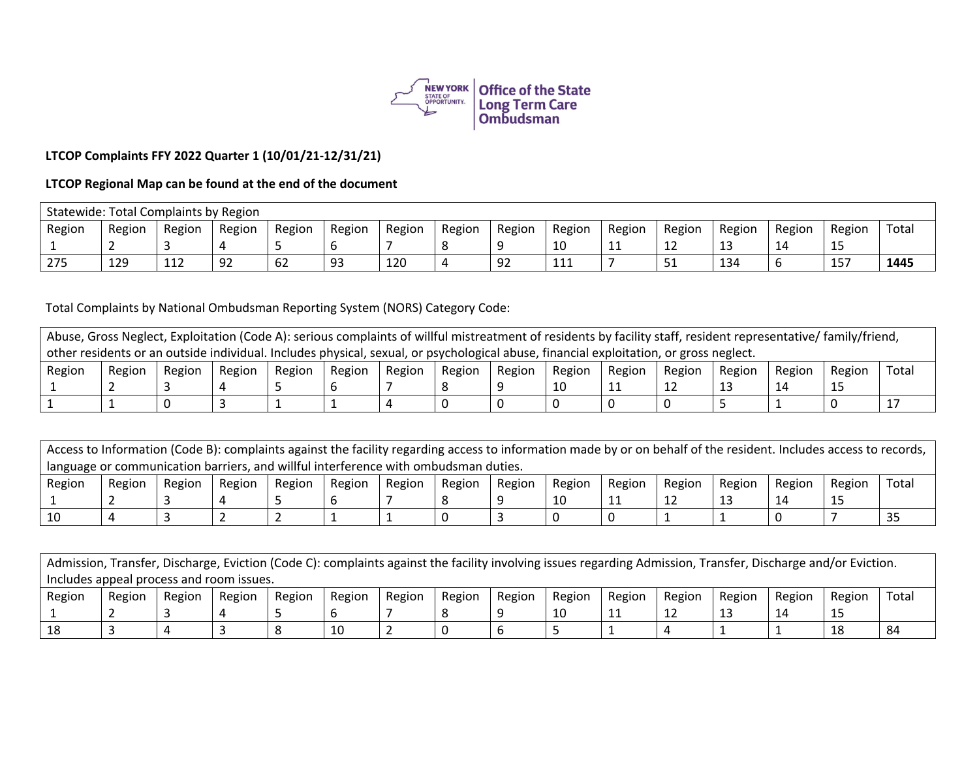

## **LTCOP Complaints FFY 2022 Quarter 1 (10/01/21-12/31/21)**

## **LTCOP Regional Map can be found at the end of the document**

|        | Statewide: Total Complaints by Region |        |        |        |        |        |        |        |        |        |                   |        |        |             |       |
|--------|---------------------------------------|--------|--------|--------|--------|--------|--------|--------|--------|--------|-------------------|--------|--------|-------------|-------|
| Region | Region                                | Region | Region | Region | Region | Region | Region | Region | Region | Region | Region            | Region | Region | Region      | Total |
|        |                                       |        |        |        |        |        |        |        | 10     | . .    | ᆠ                 | ᅩ      | -14    | ر_          |       |
| 275    | 129                                   | 112    | 92     | 62     | 93     | 120    |        | 92     | 111    |        | 51<br><u>J + </u> | 134    | b      | $1 -$<br>15 | 1445  |

Total Complaints by National Ombudsman Reporting System (NORS) Category Code:

| Abuse, Gross Neglect, Exploitation (Code A): serious complaints of willful mistreatment of residents by facility staff, resident representative/ family/friend, |        |        |        |        |        |        |        |        |        |        |        |        |        |        |       |
|-----------------------------------------------------------------------------------------------------------------------------------------------------------------|--------|--------|--------|--------|--------|--------|--------|--------|--------|--------|--------|--------|--------|--------|-------|
| other residents or an outside individual. Includes physical, sexual, or psychological abuse, financial exploitation, or gross neglect.                          |        |        |        |        |        |        |        |        |        |        |        |        |        |        |       |
| Region                                                                                                                                                          | Region | Region | Region | Region | Region | Region | Region | Region | Region | Region | Region | Region | Region | Region | Total |
|                                                                                                                                                                 |        |        |        |        |        |        |        |        |        | ᆠ      |        |        | 14     |        |       |
|                                                                                                                                                                 |        |        |        |        |        |        |        |        |        |        |        |        |        |        |       |

| Access to Information (Code B): complaints against the facility regarding access to information made by or on behalf of the resident. Includes access to records, |        |        |        |        |        |        |        |        |        |        |        |        |        |        |       |
|-------------------------------------------------------------------------------------------------------------------------------------------------------------------|--------|--------|--------|--------|--------|--------|--------|--------|--------|--------|--------|--------|--------|--------|-------|
| language or communication barriers, and willful interference with ombudsman duties.                                                                               |        |        |        |        |        |        |        |        |        |        |        |        |        |        |       |
| Region                                                                                                                                                            | Region | Region | Region | Region | Region | Region | Region | Region | Region | Region | Region | Region | Region | Region | Total |
|                                                                                                                                                                   |        |        |        |        |        |        |        |        |        |        |        |        | 14     |        |       |
|                                                                                                                                                                   |        |        |        |        |        |        |        |        |        |        |        |        |        |        |       |

| Admission, Transfer, Discharge, Eviction (Code C): complaints against the facility involving issues regarding Admission, Transfer, Discharge and/or Eviction. |        |        |        |        |        |        |        |        |        |        |        |        |        |        |       |
|---------------------------------------------------------------------------------------------------------------------------------------------------------------|--------|--------|--------|--------|--------|--------|--------|--------|--------|--------|--------|--------|--------|--------|-------|
| Includes appeal process and room issues.                                                                                                                      |        |        |        |        |        |        |        |        |        |        |        |        |        |        |       |
| Region                                                                                                                                                        | Region | Region | Region | Region | Region | Region | Region | Region | Region | Region | Region | Region | Region | Region | Total |
|                                                                                                                                                               |        |        |        |        |        |        |        |        |        | ᆂᆂ     |        |        | 14     | 15     |       |
|                                                                                                                                                               |        |        |        |        | 10     |        |        |        |        |        |        |        |        | 18     |       |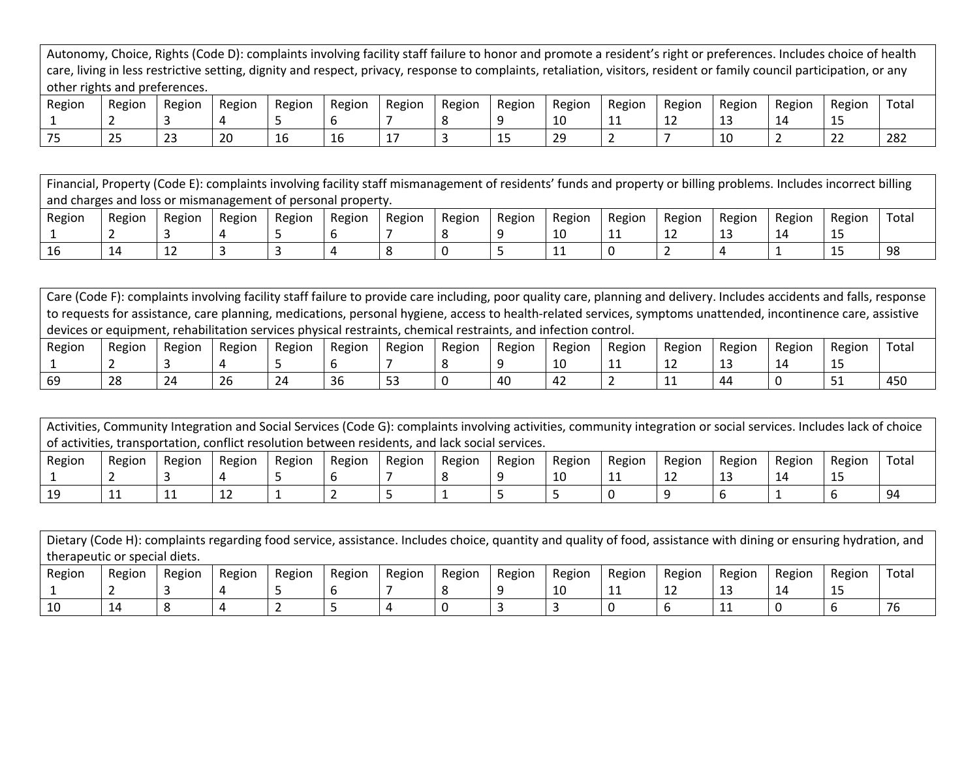| Autonomy, Choice, Rights (Code D): complaints involving facility staff failure to honor and promote a resident's right or preferences. Includes choice of health        |
|-------------------------------------------------------------------------------------------------------------------------------------------------------------------------|
| care, living in less restrictive setting, dignity and respect, privacy, response to complaints, retaliation, visitors, resident or family council participation, or any |
| other rights and preferences.                                                                                                                                           |

| Region | Region             | Region      | Region   | Region | Region | Region | Region | Region          | Region  | Region | Region | Region | Region | Region                     | Total |
|--------|--------------------|-------------|----------|--------|--------|--------|--------|-----------------|---------|--------|--------|--------|--------|----------------------------|-------|
|        |                    |             |          |        |        |        |        |                 | ∸       |        | ---    | --     |        | --                         |       |
| $- -$  | $\sim$ $\sim$<br>ت | $\sim$<br>ت | ാറ<br>∠∪ | 16     | ᅩ∪     |        |        | <b>AF</b><br>-- | ንር<br>້ |        |        | ∸      |        | $\sim$ $\sim$<br><u>__</u> | 282   |

Financial, Property (Code E): complaints involving facility staff mismanagement of residents' funds and property or billing problems. Includes incorrect billing and charges and loss or mismanagement of personal property. Region 1 Region 2 Region 3 Region 4 Region 5 Region 6 Region 7 Region 8 Region 9 Region 10 Region 11 Region 12 Region 13 Region 14 Region 15 Total 16 |14 |12 |3 |3 |4 |8 |0 |5 |11 |0 |2 |4 |1 |15 |98

Care (Code F): complaints involving facility staff failure to provide care including, poor quality care, planning and delivery. Includes accidents and falls, response to requests for assistance, care planning, medications, personal hygiene, access to health-related services, symptoms unattended, incontinence care, assistive devices or equipment, rehabilitation services physical restraints, chemical restraints, and infection control.

| Region | Region | Region | Region        | Region | Region | Region | Region | Region | Region | Region | Region    | Region | Region | Region | Totai |
|--------|--------|--------|---------------|--------|--------|--------|--------|--------|--------|--------|-----------|--------|--------|--------|-------|
|        |        |        |               |        |        |        |        |        | ⊥∪     | .      | <u>+4</u> | --     | ∸      | --     |       |
| -69    | 28     | 24     | $\sim$<br>-26 | 24     | 36     | --     |        | 40     | 42     |        |           | 44     |        | ັ      | 450   |

Activities, Community Integration and Social Services (Code G): complaints involving activities, community integration or social services. Includes lack of choice of activities, transportation, conflict resolution between residents, and lack social services.

| Region | Region | Region | Region | Region | Region | Region | Region | Region | Region | Region | Region       | Region | Region    | Region | Total |
|--------|--------|--------|--------|--------|--------|--------|--------|--------|--------|--------|--------------|--------|-----------|--------|-------|
|        |        |        |        |        |        |        |        |        | ΠO     | . .    | $\sim$<br>-- | --     | <b>14</b> | --     |       |
|        | . .    | . .    | --     |        |        |        |        |        |        |        |              |        |           |        | ۹ı    |

Dietary (Code H): complaints regarding food service, assistance. Includes choice, quantity and quality of food, assistance with dining or ensuring hydration, and therapeutic or special diets.

| Region | Region | Region | Region | Region | Region | Region | Region | Region | Region | Region | Region | Region     | Region          | Region | Total |
|--------|--------|--------|--------|--------|--------|--------|--------|--------|--------|--------|--------|------------|-----------------|--------|-------|
|        |        |        |        |        |        |        |        |        | ⊥∪     | .      | ---    | <b>. .</b> | <u>. на стр</u> | --     |       |
| ᅩ      |        |        |        |        |        |        |        |        |        |        |        |            |                 |        |       |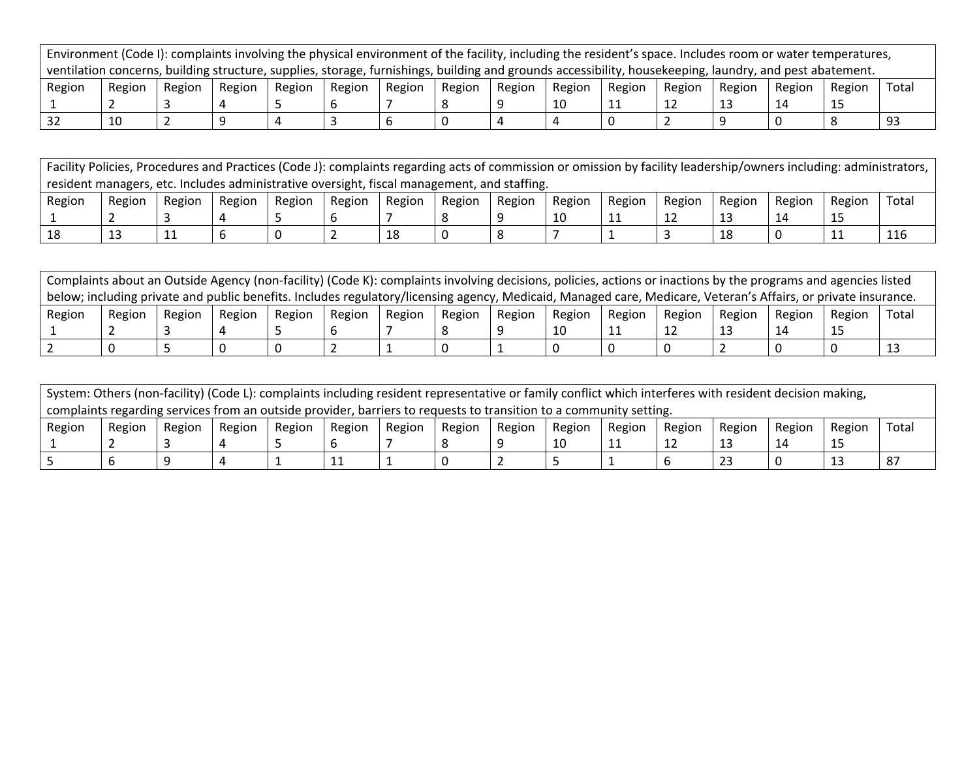|                                                                                                                                                          |        |        |        |        |        |        |        |        |        |        |        |        | Environment (Code I): complaints involving the physical environment of the facility, including the resident's space. Includes room or water temperatures, |        |       |
|----------------------------------------------------------------------------------------------------------------------------------------------------------|--------|--------|--------|--------|--------|--------|--------|--------|--------|--------|--------|--------|-----------------------------------------------------------------------------------------------------------------------------------------------------------|--------|-------|
| ventilation concerns, building structure, supplies, storage, furnishings, building and grounds accessibility, housekeeping, laundry, and pest abatement. |        |        |        |        |        |        |        |        |        |        |        |        |                                                                                                                                                           |        |       |
| Region                                                                                                                                                   | Region | Region | Region | Region | Region | Region | Region | Region | Region | Region | Region | Region | Region                                                                                                                                                    | Region | Total |
|                                                                                                                                                          |        |        |        |        |        |        |        |        |        |        |        |        |                                                                                                                                                           |        |       |
|                                                                                                                                                          | 10     |        |        |        |        |        |        | 4      |        |        |        |        |                                                                                                                                                           |        |       |

| Facility Policies, Procedures and Practices (Code J): complaints regarding acts of commission or omission by facility leadership/owners including: administrators, |        |        |        |                                                                                             |        |        |        |        |        |        |        |        |        |        |       |
|--------------------------------------------------------------------------------------------------------------------------------------------------------------------|--------|--------|--------|---------------------------------------------------------------------------------------------|--------|--------|--------|--------|--------|--------|--------|--------|--------|--------|-------|
|                                                                                                                                                                    |        |        |        | resident managers, etc. Includes administrative oversight, fiscal management, and staffing. |        |        |        |        |        |        |        |        |        |        |       |
| Region                                                                                                                                                             | Region | Region | Region | Region                                                                                      | Region | Region | Region | Region | Region | Region | Region | Region | Region | Region | Total |
|                                                                                                                                                                    |        |        |        |                                                                                             |        |        |        |        | 10     | 11     |        |        | 14     |        |       |
| 18                                                                                                                                                                 | 13     | ᆠ      |        |                                                                                             |        |        |        |        |        |        |        |        |        |        | 116   |

|        | Complaints about an Outside Agency (non-facility) (Code K): complaints involving decisions, policies, actions or inactions by the programs and agencies listed |        |        |        |        |        |        |        |        |        |        |        |        |        |       |
|--------|----------------------------------------------------------------------------------------------------------------------------------------------------------------|--------|--------|--------|--------|--------|--------|--------|--------|--------|--------|--------|--------|--------|-------|
|        | below; including private and public benefits. Includes regulatory/licensing agency, Medicaid, Managed care, Medicare, Veteran's Affairs, or private insurance. |        |        |        |        |        |        |        |        |        |        |        |        |        |       |
| Region | Region                                                                                                                                                         | Region | Region | Region | Region | Region | Region | Region | Region | Region | Region | Region | Region | Region | Total |
|        |                                                                                                                                                                |        |        |        |        |        |        |        |        |        | ᅩᅩ     |        |        |        |       |
|        |                                                                                                                                                                |        |        |        |        |        |        |        |        |        |        |        |        |        |       |

|                                                                                                                    | System: Others (non-facility) (Code L): complaints including resident representative or family conflict which interferes with resident decision making, |        |        |        |        |        |        |               |        |        |        |        |        |        |       |
|--------------------------------------------------------------------------------------------------------------------|---------------------------------------------------------------------------------------------------------------------------------------------------------|--------|--------|--------|--------|--------|--------|---------------|--------|--------|--------|--------|--------|--------|-------|
| complaints regarding services from an outside provider, barriers to requests to transition to a community setting. |                                                                                                                                                         |        |        |        |        |        |        |               |        |        |        |        |        |        |       |
| Region                                                                                                             | Region                                                                                                                                                  | Region | Region | Region | Region | Region | Region | <b>Region</b> | Region | Region | Region | Region | Region | Region | Total |
|                                                                                                                    |                                                                                                                                                         |        |        |        |        |        |        |               |        | ᆠ      | ᆠ      |        |        |        |       |
|                                                                                                                    |                                                                                                                                                         |        |        |        | ᆂᆂ     |        |        |               |        |        |        |        |        |        |       |